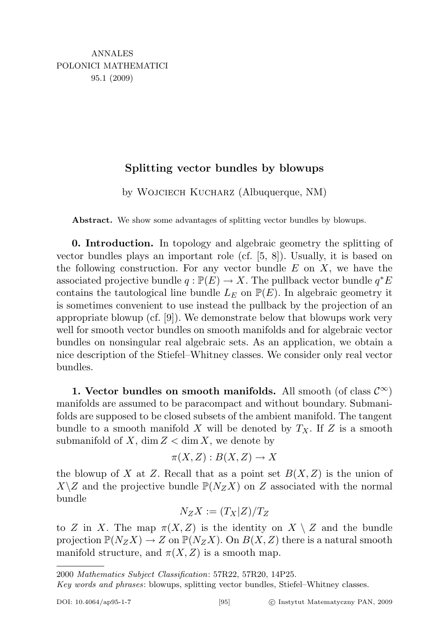## Splitting vector bundles by blowups

by Wojciech Kucharz (Albuquerque, NM)

Abstract. We show some advantages of splitting vector bundles by blowups.

0. Introduction. In topology and algebraic geometry the splitting of vector bundles plays an important role (cf. [5, 8]). Usually, it is based on the following construction. For any vector bundle  $E$  on  $X$ , we have the associated projective bundle  $q : \mathbb{P}(E) \to X$ . The pullback vector bundle  $q^*E$ contains the tautological line bundle  $L_E$  on  $\mathbb{P}(E)$ . In algebraic geometry it is sometimes convenient to use instead the pullback by the projection of an appropriate blowup (cf. [9]). We demonstrate below that blowups work very well for smooth vector bundles on smooth manifolds and for algebraic vector bundles on nonsingular real algebraic sets. As an application, we obtain a nice description of the Stiefel–Whitney classes. We consider only real vector bundles.

1. Vector bundles on smooth manifolds. All smooth (of class  $\mathcal{C}^{\infty}$ ) manifolds are assumed to be paracompact and without boundary. Submanifolds are supposed to be closed subsets of the ambient manifold. The tangent bundle to a smooth manifold X will be denoted by  $T_X$ . If Z is a smooth submanifold of X, dim  $Z < \dim X$ , we denote by

$$
\pi(X, Z) : B(X, Z) \to X
$$

the blowup of X at Z. Recall that as a point set  $B(X, Z)$  is the union of  $X\setminus Z$  and the projective bundle  $\mathbb{P}(N_ZX)$  on Z associated with the normal bundle

$$
N_Z X := (T_X|Z)/T_Z
$$

to Z in X. The map  $\pi(X, Z)$  is the identity on  $X \setminus Z$  and the bundle projection  $\mathbb{P}(N_ZX) \to Z$  on  $\mathbb{P}(N_ZX)$ . On  $B(X,Z)$  there is a natural smooth manifold structure, and  $\pi(X, Z)$  is a smooth map.

2000 Mathematics Subject Classification: 57R22, 57R20, 14P25.

Key words and phrases: blowups, splitting vector bundles, Stiefel–Whitney classes.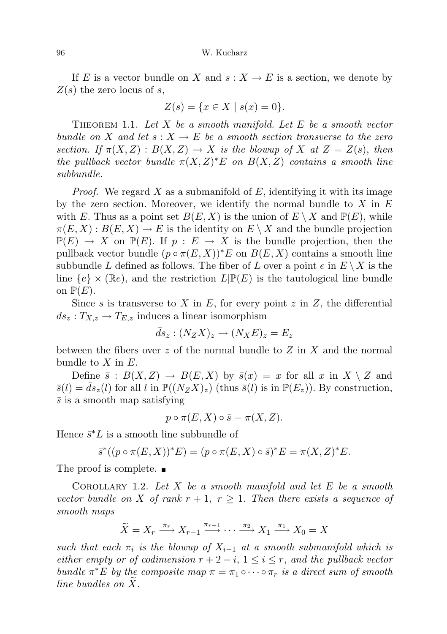If E is a vector bundle on X and  $s: X \to E$  is a section, we denote by  $Z(s)$  the zero locus of s,

$$
Z(s) = \{ x \in X \mid s(x) = 0 \}.
$$

THEOREM 1.1. Let X be a smooth manifold. Let E be a smooth vector bundle on X and let  $s: X \to E$  be a smooth section transverse to the zero section. If  $\pi(X, Z) : B(X, Z) \to X$  is the blowup of X at  $Z = Z(s)$ , then the pullback vector bundle  $\pi(X,Z)^*E$  on  $B(X,Z)$  contains a smooth line subbundle.

*Proof.* We regard X as a submanifold of E, identifying it with its image by the zero section. Moreover, we identify the normal bundle to  $X$  in  $E$ with E. Thus as a point set  $B(E, X)$  is the union of  $E \setminus X$  and  $\mathbb{P}(E)$ , while  $\pi(E, X) : B(E, X) \to E$  is the identity on  $E \setminus X$  and the bundle projection  $\mathbb{P}(E) \to X$  on  $\mathbb{P}(E)$ . If  $p : E \to X$  is the bundle projection, then the pullback vector bundle  $(p \circ \pi(E, X))^*E$  on  $B(E, X)$  contains a smooth line subbundle L defined as follows. The fiber of L over a point  $e$  in  $E \setminus X$  is the line  ${e} \times (\mathbb{R}e)$ , and the restriction  $L(\mathbb{P}(E))$  is the tautological line bundle on  $\mathbb{P}(E)$ .

Since s is transverse to X in E, for every point z in Z, the differential  $ds_z: T_{X,z} \to T_{E,z}$  induces a linear isomorphism

$$
\bar{d}s_z : (N_Z X)_z \to (N_X E)_z = E_z
$$

between the fibers over z of the normal bundle to  $Z$  in  $X$  and the normal bundle to  $X$  in  $E$ .

Define  $\bar{s}: B(X,Z) \to B(E,X)$  by  $\bar{s}(x) = x$  for all x in  $X \setminus Z$  and  $\bar{s}(l) = ds_z(l)$  for all l in  $\mathbb{P}((N_Z X)_z)$  (thus  $\bar{s}(l)$  is in  $\mathbb{P}(E_z)$ ). By construction,  $\bar{s}$  is a smooth map satisfying

$$
p \circ \pi(E, X) \circ \bar{s} = \pi(X, Z).
$$

Hence  $\bar{s}^*L$  is a smooth line subbundle of

$$
\overline{s}^*((p \circ \pi(E, X))^*E) = (p \circ \pi(E, X) \circ \overline{s})^*E = \pi(X, Z)^*E.
$$

The proof is complete.  $\blacksquare$ 

COROLLARY 1.2. Let  $X$  be a smooth manifold and let  $E$  be a smooth vector bundle on X of rank  $r + 1$ ,  $r \geq 1$ . Then there exists a sequence of smooth maps

$$
\widetilde{X} = X_r \xrightarrow{\pi_r} X_{r-1} \xrightarrow{\pi_{r-1}} \cdots \xrightarrow{\pi_2} X_1 \xrightarrow{\pi_1} X_0 = X
$$

such that each  $\pi_i$  is the blowup of  $X_{i-1}$  at a smooth submanifold which is either empty or of codimension  $r + 2 - i$ ,  $1 \leq i \leq r$ , and the pullback vector bundle  $\pi^*E$  by the composite map  $\pi = \pi_1 \circ \cdots \circ \pi_r$  is a direct sum of smooth line bundles on  $X$ .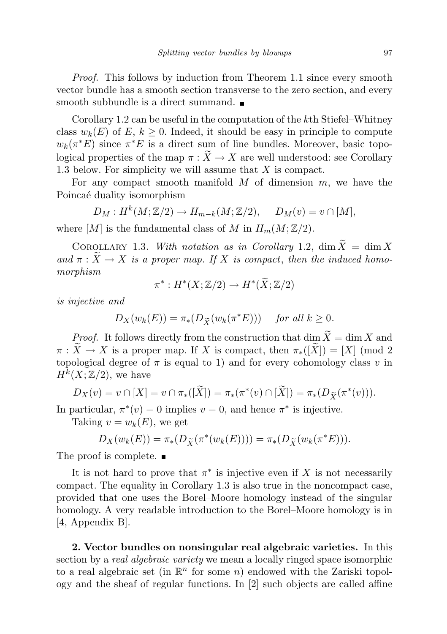Proof. This follows by induction from Theorem 1.1 since every smooth vector bundle has a smooth section transverse to the zero section, and every smooth subbundle is a direct summand.

Corollary 1.2 can be useful in the computation of the kth Stiefel–Whitney class  $w_k(E)$  of  $E, k \geq 0$ . Indeed, it should be easy in principle to compute  $w_k(\pi^*E)$  since  $\pi^*E$  is a direct sum of line bundles. Moreover, basic topological properties of the map  $\pi : \widetilde{X} \to X$  are well understood: see Corollary 1.3 below. For simplicity we will assume that X is compact.

For any compact smooth manifold  $M$  of dimension  $m$ , we have the Poincaé duality isomorphism

$$
D_M: H^k(M; \mathbb{Z}/2) \to H_{m-k}(M; \mathbb{Z}/2), \quad D_M(v) = v \cap [M],
$$

where  $[M]$  is the fundamental class of M in  $H_m(M; \mathbb{Z}/2)$ .

COROLLARY 1.3. With notation as in Corollary 1.2,  $\dim \widetilde{X} = \dim X$ and  $\pi : \widetilde{X} \to X$  is a proper map. If X is compact, then the induced homomorphism

$$
\pi^*: H^*(X;\mathbb{Z}/2) \to H^*(\widetilde{X};\mathbb{Z}/2)
$$

is injective and

$$
D_X(w_k(E)) = \pi_*(D_{\widetilde{X}}(w_k(\pi^*E))) \quad \text{for all } k \ge 0.
$$

*Proof.* It follows directly from the construction that dim  $\widetilde{X} = \dim X$  and  $\pi : \widetilde{X} \to X$  is a proper map. If X is compact, then  $\pi_*(\widetilde{X}) = [X] \pmod{2}$ topological degree of  $\pi$  is equal to 1) and for every cohomology class v in  $H^k(X;\mathbb{Z}/2)$ , we have

$$
D_X(v) = v \cap [X] = v \cap \pi_*([\widetilde{X}]) = \pi_*(\pi^*(v) \cap [\widetilde{X}]) = \pi_*(D_{\widetilde{X}}(\pi^*(v))).
$$

In particular,  $\pi^*(v) = 0$  implies  $v = 0$ , and hence  $\pi^*$  is injective.

Taking  $v = w_k(E)$ , we get

$$
D_X(w_k(E)) = \pi_*(D_{\widetilde{X}}(\pi^*(w_k(E)))) = \pi_*(D_{\widetilde{X}}(w_k(\pi^*E))).
$$

The proof is complete.  $\blacksquare$ 

It is not hard to prove that  $\pi^*$  is injective even if X is not necessarily compact. The equality in Corollary 1.3 is also true in the noncompact case, provided that one uses the Borel–Moore homology instead of the singular homology. A very readable introduction to the Borel–Moore homology is in [4, Appendix B].

2. Vector bundles on nonsingular real algebraic varieties. In this section by a *real algebraic variety* we mean a locally ringed space isomorphic to a real algebraic set (in  $\mathbb{R}^n$  for some n) endowed with the Zariski topology and the sheaf of regular functions. In [2] such objects are called affine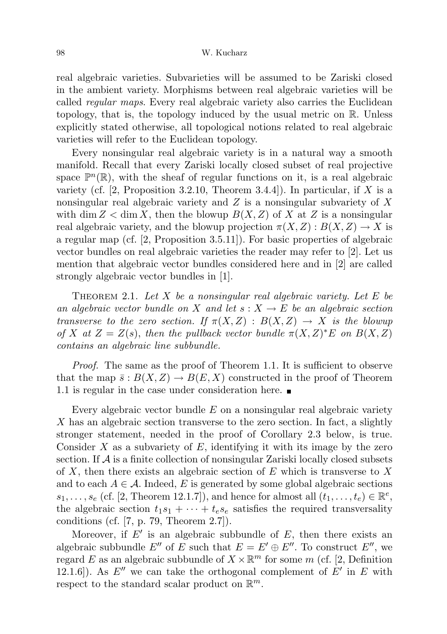## 98 W. Kucharz

real algebraic varieties. Subvarieties will be assumed to be Zariski closed in the ambient variety. Morphisms between real algebraic varieties will be called regular maps. Every real algebraic variety also carries the Euclidean topology, that is, the topology induced by the usual metric on R. Unless explicitly stated otherwise, all topological notions related to real algebraic varieties will refer to the Euclidean topology.

Every nonsingular real algebraic variety is in a natural way a smooth manifold. Recall that every Zariski locally closed subset of real projective space  $\mathbb{P}^n(\mathbb{R})$ , with the sheaf of regular functions on it, is a real algebraic variety (cf.  $[2,$  Proposition 3.2.10, Theorem 3.4.4]). In particular, if X is a nonsingular real algebraic variety and  $Z$  is a nonsingular subvariety of  $X$ with dim  $Z < \dim X$ , then the blowup  $B(X, Z)$  of X at Z is a nonsingular real algebraic variety, and the blowup projection  $\pi(X, Z) : B(X, Z) \to X$  is a regular map (cf. [2, Proposition 3.5.11]). For basic properties of algebraic vector bundles on real algebraic varieties the reader may refer to [2]. Let us mention that algebraic vector bundles considered here and in [2] are called strongly algebraic vector bundles in [1].

THEOREM 2.1. Let X be a nonsingular real algebraic variety. Let E be an algebraic vector bundle on X and let  $s: X \to E$  be an algebraic section transverse to the zero section. If  $\pi(X, Z) : B(X, Z) \to X$  is the blowup of X at  $Z = Z(s)$ , then the pullback vector bundle  $\pi(X, Z)^*E$  on  $B(X, Z)$ contains an algebraic line subbundle.

*Proof.* The same as the proof of Theorem 1.1. It is sufficient to observe that the map  $\bar{s}: B(X,Z) \to B(E,X)$  constructed in the proof of Theorem 1.1 is regular in the case under consideration here.

Every algebraic vector bundle  $E$  on a nonsingular real algebraic variety X has an algebraic section transverse to the zero section. In fact, a slightly stronger statement, needed in the proof of Corollary 2.3 below, is true. Consider  $X$  as a subvariety of  $E$ , identifying it with its image by the zero section. If  $\mathcal A$  is a finite collection of nonsingular Zariski locally closed subsets of X, then there exists an algebraic section of  $E$  which is transverse to X and to each  $A \in \mathcal{A}$ . Indeed, E is generated by some global algebraic sections  $s_1, \ldots, s_e$  (cf. [2, Theorem 12.1.7]), and hence for almost all  $(\overline{t}_1, \ldots, t_e) \in \mathbb{R}^e$ , the algebraic section  $t_1s_1 + \cdots + t_se_k$  satisfies the required transversality conditions (cf. [7, p. 79, Theorem 2.7]).

Moreover, if  $E'$  is an algebraic subbundle of  $E$ , then there exists an algebraic subbundle E'' of E such that  $E = E' \oplus E''$ . To construct E'', we regard E as an algebraic subbundle of  $X \times \mathbb{R}^m$  for some m (cf. [2, Definition 12.1.6]). As  $E''$  we can take the orthogonal complement of  $E'$  in E with respect to the standard scalar product on  $\mathbb{R}^m$ .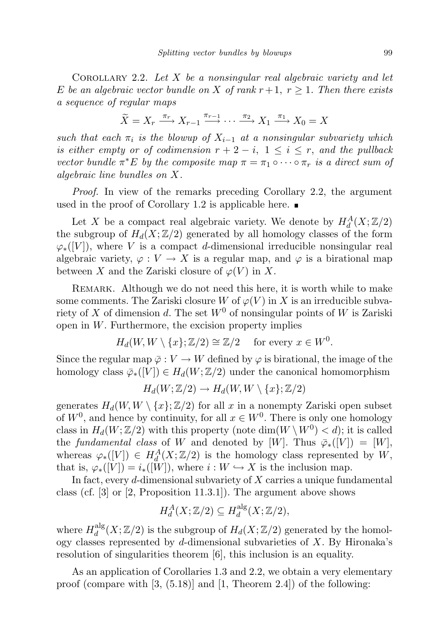COROLLARY 2.2. Let  $X$  be a nonsingular real algebraic variety and let E be an algebraic vector bundle on X of rank  $r+1$ ,  $r \geq 1$ . Then there exists a sequence of regular maps

$$
\widetilde{X} = X_r \xrightarrow{\pi_r} X_{r-1} \xrightarrow{\pi_{r-1}} \cdots \xrightarrow{\pi_2} X_1 \xrightarrow{\pi_1} X_0 = X
$$

such that each  $\pi_i$  is the blowup of  $X_{i-1}$  at a nonsingular subvariety which is either empty or of codimension  $r + 2 - i$ ,  $1 \leq i \leq r$ , and the pullback vector bundle  $\pi^*E$  by the composite map  $\pi = \pi_1 \circ \cdots \circ \pi_r$  is a direct sum of algebraic line bundles on X.

Proof. In view of the remarks preceding Corollary 2.2, the argument used in the proof of Corollary 1.2 is applicable here.  $\blacksquare$ 

Let X be a compact real algebraic variety. We denote by  $H_d^A(X; \mathbb{Z}/2)$ the subgroup of  $H_d(X;\mathbb{Z}/2)$  generated by all homology classes of the form  $\varphi_*(V)$ , where V is a compact d-dimensional irreducible nonsingular real algebraic variety,  $\varphi: V \to X$  is a regular map, and  $\varphi$  is a birational map between X and the Zariski closure of  $\varphi(V)$  in X.

REMARK. Although we do not need this here, it is worth while to make some comments. The Zariski closure W of  $\varphi(V)$  in X is an irreducible subvariety of X of dimension d. The set  $W^0$  of nonsingular points of W is Zariski open in W. Furthermore, the excision property implies

$$
H_d(W, W \setminus \{x\}; \mathbb{Z}/2) \cong \mathbb{Z}/2 \quad \text{ for every } x \in W^0.
$$

Since the regular map  $\bar{\varphi}: V \to W$  defined by  $\varphi$  is birational, the image of the homology class  $\overline{\varphi}_*(V) \in H_d(W; \mathbb{Z}/2)$  under the canonical homomorphism

$$
H_d(W; \mathbb{Z}/2) \to H_d(W, W \setminus \{x\}; \mathbb{Z}/2)
$$

generates  $H_d(W, W \setminus \{x\}; \mathbb{Z}/2)$  for all x in a nonempty Zariski open subset of  $W^0$ , and hence by continuity, for all  $x \in W^0$ . There is only one homology class in  $H_d(W; \mathbb{Z}/2)$  with this property (note  $\dim(W \setminus W^0) < d$ ); it is called the fundamental class of W and denoted by [W]. Thus  $\overline{\varphi}_*(V) = [W]$ , whereas  $\varphi_*([V]) \in H_d^A(X;\mathbb{Z}/2)$  is the homology class represented by  $W$ , that is,  $\varphi_*([V]) = i_*([W])$ , where  $i : W \hookrightarrow X$  is the inclusion map.

In fact, every  $d$ -dimensional subvariety of  $X$  carries a unique fundamental class (cf. [3] or [2, Proposition 11.3.1]). The argument above shows

$$
H_d^A(X; \mathbb{Z}/2) \subseteq H_d^{\text{alg}}(X; \mathbb{Z}/2),
$$

where  $H_d^{\text{alg}}$  $\frac{\text{alg}}{d}(X;\mathbb{Z}/2)$  is the subgroup of  $H_d(X;\mathbb{Z}/2)$  generated by the homology classes represented by d-dimensional subvarieties of  $X$ . By Hironaka's resolution of singularities theorem [6], this inclusion is an equality.

As an application of Corollaries 1.3 and 2.2, we obtain a very elementary proof (compare with  $[3, (5.18)]$  and  $[1,$  Theorem 2.4]) of the following: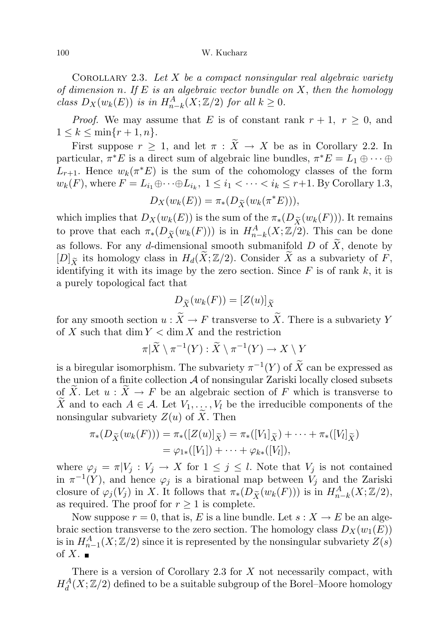## 100 W. Kucharz

COROLLARY 2.3. Let  $X$  be a compact nonsingular real algebraic variety of dimension n. If  $E$  is an algebraic vector bundle on  $X$ , then the homology class  $D_X(w_k(E))$  is in  $H^A_{n-k}(X;\mathbb{Z}/2)$  for all  $k \geq 0$ .

*Proof.* We may assume that E is of constant rank  $r + 1$ ,  $r \ge 0$ , and  $1 \leq k \leq \min\{r+1, n\}.$ 

First suppose  $r \geq 1$ , and let  $\pi : \widetilde{X} \to X$  be as in Corollary 2.2. In particular,  $\pi^* E$  is a direct sum of algebraic line bundles,  $\pi^* E = L_1 \oplus \cdots \oplus L_n$  $L_{r+1}$ . Hence  $w_k(\pi^*E)$  is the sum of the cohomology classes of the form  $w_k(F)$ , where  $F = L_{i_1} \oplus \cdots \oplus L_{i_k}$ ,  $1 \leq i_1 < \cdots < i_k \leq r+1$ . By Corollary 1.3,

$$
D_X(w_k(E)) = \pi_*(D_{\widetilde{X}}(w_k(\pi^*E))),
$$

which implies that  $D_X(w_k(E))$  is the sum of the  $\pi_*(D_{\widetilde{X}}(w_k(F)))$ . It remains to prove that each  $\pi_*(D_{\tilde{X}}(w_k(F)))$  is in  $H^A_{n-k}(X;\mathbb{Z}/2)$ . This can be done as follows. For any d-dimensional smooth submanifold  $D$  of  $\widetilde{X}$ , denote by  $[D]_{\widetilde{X}}$  its homology class in  $H_d(\widetilde{X}; \mathbb{Z}/2)$ . Consider  $\widetilde{X}$  as a subvariety of  $\widetilde{F}$ , identifying it with its image by the zero section. Since  $F$  is of rank  $k$ , it is a purely topological fact that

$$
D_{\widetilde{X}}(w_k(F)) = [Z(u)]_{\widetilde{X}}
$$

for any smooth section  $u : \widetilde{X} \to F$  transverse to  $\widetilde{X}$ . There is a subvariety Y of X such that  $\dim Y < \dim X$  and the restriction

$$
\pi|\widetilde{X}\setminus \pi^{-1}(Y):\widetilde{X}\setminus \pi^{-1}(Y)\to X\setminus Y
$$

is a biregular isomorphism. The subvariety  $\pi^{-1}(Y)$  of  $\widetilde{X}$  can be expressed as the union of a finite collection  $A$  of nonsingular Zariski locally closed subsets of X. Let  $u : \tilde{X} \to F$  be an algebraic section of F which is transverse to X and to each  $A \in \mathcal{A}$ . Let  $V_1, \ldots, V_l$  be the irreducible components of the nonsingular subvariety  $Z(u)$  of X. Then

$$
\pi_*(D_{\widetilde{X}}(w_k(F))) = \pi_*([Z(u)]_{\widetilde{X}}) = \pi_*([V_1]_{\widetilde{X}}) + \cdots + \pi_*([V_l]_{\widetilde{X}})
$$
  
=  $\varphi_{1*}([V_1]) + \cdots + \varphi_{k*}([V_l]),$ 

where  $\varphi_j = \pi | V_j : V_j \to X$  for  $1 \leq j \leq l$ . Note that  $V_j$  is not contained in  $\pi^{-1}(\tilde{Y})$ , and hence  $\varphi_j$  is a birational map between  $\tilde{V}_j$  and the Zariski closure of  $\varphi_j(V_j)$  in X. It follows that  $\pi_*(D_{\tilde{X}}(w_k(F)))$  is in  $H^A_{n-k}(X;\mathbb{Z}/2)$ , as required. The proof for  $r \geq 1$  is complete.

Now suppose  $r = 0$ , that is, E is a line bundle. Let  $s : X \to E$  be an algebraic section transverse to the zero section. The homology class  $D_X(w_1(E))$ is in  $H_{n-1}^A(X; \mathbb{Z}/2)$  since it is represented by the nonsingular subvariety  $Z(s)$ of  $X$ .

There is a version of Corollary 2.3 for  $X$  not necessarily compact, with  $H_d^A(X;\mathbb{Z}/2)$  defined to be a suitable subgroup of the Borel–Moore homology